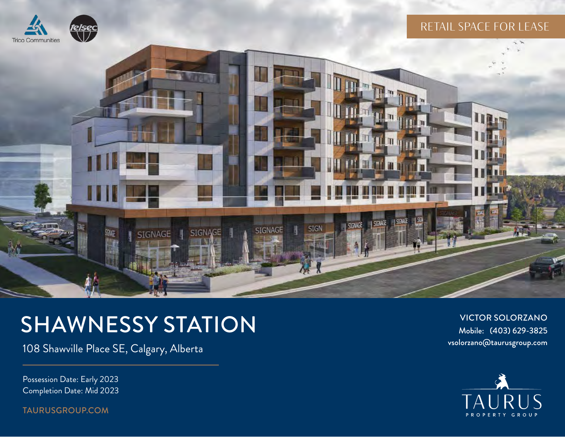

### RETAIL SPACE FOR LEASE



# SHAWNESSY STATION

108 Shawville Place SE, Calgary, Alberta

Possession Date: Early 2023 Completion Date: Mid 2023

[TAURUSGROUP.COM](http://taurusgroup.com)

VICTOR SOLORZANO Mobile: (403) 629-3825 vsolorzano@taurusgroup.com

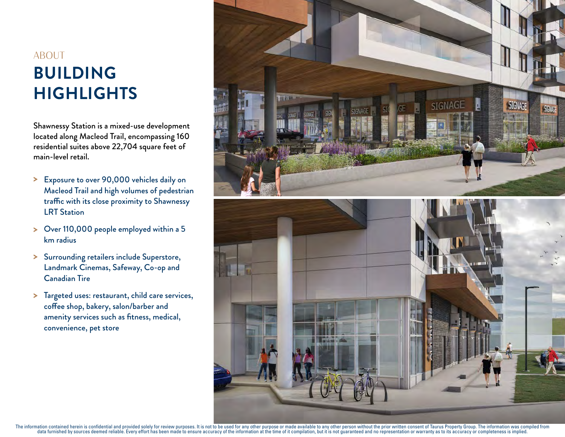## **BUILDING HIGHLIGHTS** ABOUT

Shawnessy Station is a mixed-use development located along Macleod Trail, encompassing 160 residential suites above 22,704 square feet of main-level retail.

- > Exposure to over 90,000 vehicles daily on Macleod Trail and high volumes of pedestrian traffic with its close proximity to Shawnessy LRT Station
- Over 110,000 people employed within a 5 > km radius
- > Surrounding retailers include Superstore, Landmark Cinemas, Safeway, Co-op and Canadian Tire
- > Targeted uses: restaurant, child care services, coffee shop, bakery, salon/barber and amenity services such as fitness, medical, convenience, pet store

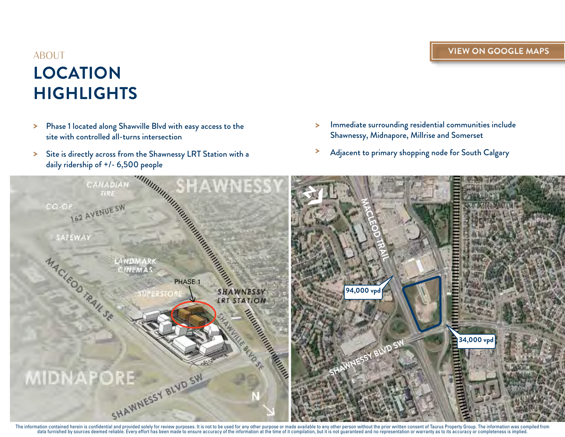### **LOCATION HIGHLIGHTS** ABOUT

- Phase 1 located along Shawville Blvd with easy access to the site with controlled all-turns intersection >
- Site is directly across from the Shawnessy LRT Station with a > > daily ridership of +/- 6,500 people
- Immediate surrounding residential communities include Shawnessy, Midnapore, Millrise and Somerset >
- Adjacent to primary shopping node for South Calgary



The information contained herein is confidential and provided solely for review purposes. It is not to be used for any other purpose or made available to any other person without the prior written consent of Taurus Propert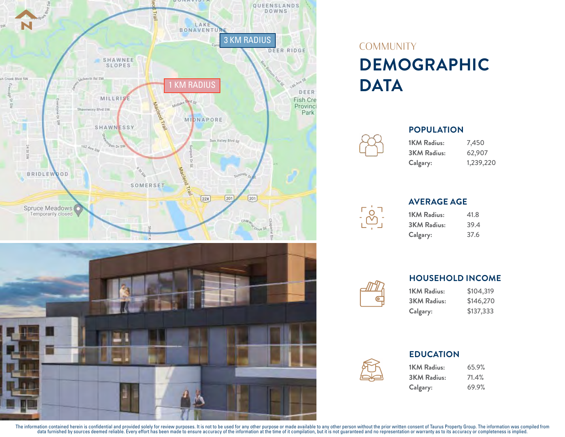



### **DEMOGRAPHIC DATA COMMUNITY**

| <b>1KM Radius:</b> | 7,450     |
|--------------------|-----------|
| <b>3KM Radius:</b> | 62,907    |
| Calgary:           | 1,239,220 |



**POPULATION**

| 1KM Radius:        | 41.8 |
|--------------------|------|
| <b>3KM Radius:</b> | 39.4 |
| Calgary:           | 37.6 |



#### **HOUSEHOLD INCOME**

\$104,319 \$146,270 \$137,333 **1KM Radius: 3KM Radius: Calgary:**



#### **EDUCATION**

**1KM Radius: 3KM Radius: Calgary:** 65.9% 71.4% 69.9%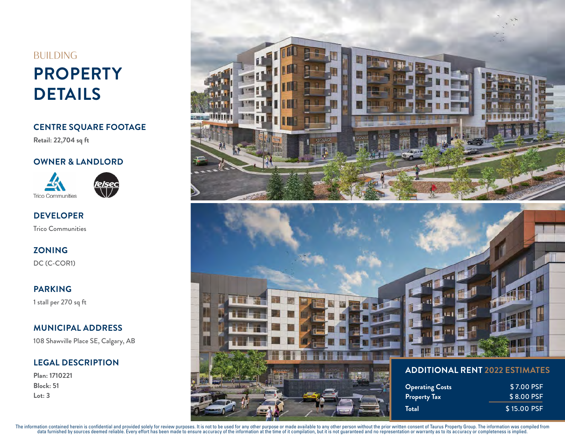### **PROPERTY DETAILS BUILDING**

**CENTRE SQUARE FOOTAGE**

**Retail: 22,704 sq ft**

#### **OWNER & LANDLORD**



<u>telsec</u>

Trico Communities **DEVELOPER**

**ZONING**

DC (C-COR1)

**PARKING**

1 stall per 270 sq ft

#### **MUNICIPAL ADDRESS**

108 Shawville Place SE, Calgary, AB

#### **LEGAL DESCRIPTION**

**Plan: 1710221 Block: 51 Lot: 3**



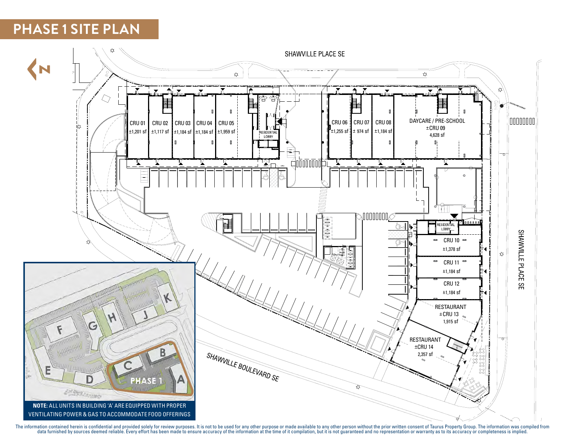### **PHASE 1 SITE PLAN**